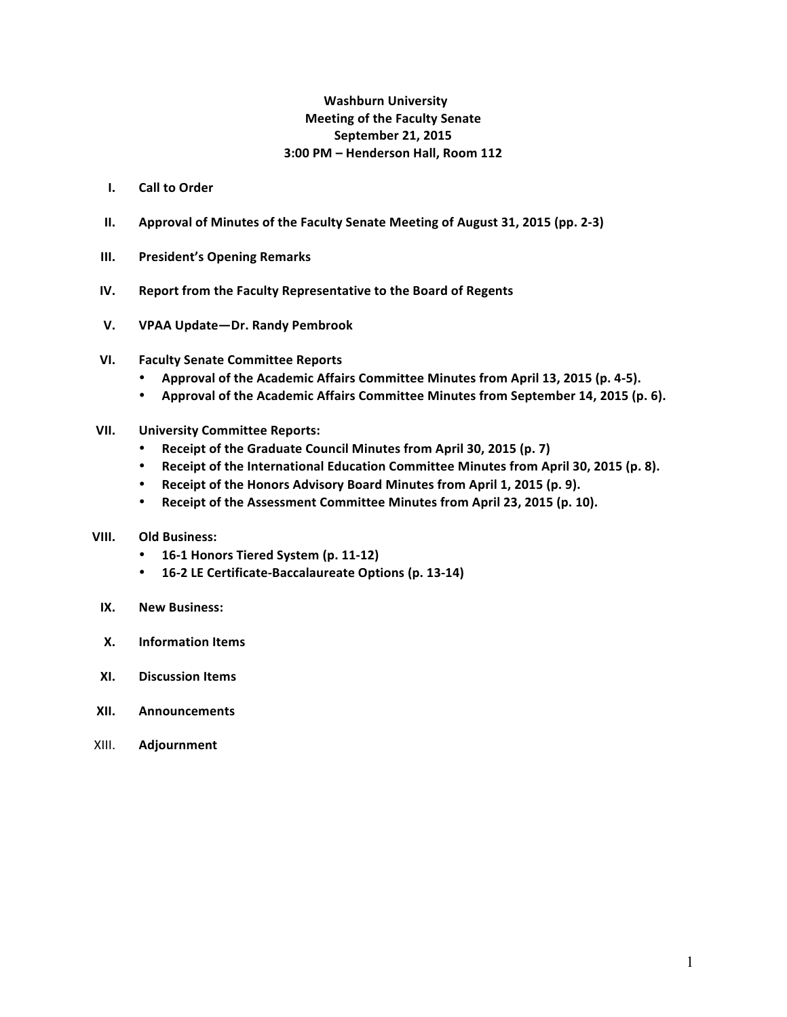# **Washburn University Meeting of the Faculty Senate September 21, 2015 3:00 PM – Henderson Hall, Room 112**

- **I. Call to Order**
- **II.** Approval of Minutes of the Faculty Senate Meeting of August 31, 2015 (pp. 2-3)
- **III.** President's Opening Remarks
- **IV.** Report from the Faculty Representative to the Board of Regents
- **V. VPAA Update—Dr. Randy Pembrook**
- **VI. Faculty Senate Committee Reports**
	- Approval of the Academic Affairs Committee Minutes from April 13, 2015 (p. 4-5).
	- Approval of the Academic Affairs Committee Minutes from September 14, 2015 (p. 6).
- **VII. University Committee Reports:**
	- Receipt of the Graduate Council Minutes from April 30, 2015 (p. 7)
	- Receipt of the International Education Committee Minutes from April 30, 2015 (p. 8).
	- Receipt of the Honors Advisory Board Minutes from April 1, 2015 (p. 9).
	- Receipt of the Assessment Committee Minutes from April 23, 2015 (p. 10).
- **VIII.** Old Business:
	- **16-1 Honors Tiered System (p. 11-12)**
	- **16-2 LE Certificate-Baccalaureate Options (p. 13-14)**
- **IX. New Business:**
- **X. Information Items**
- **XI. Discussion Items**
- **XII. Announcements**
- XIII. **Adjournment**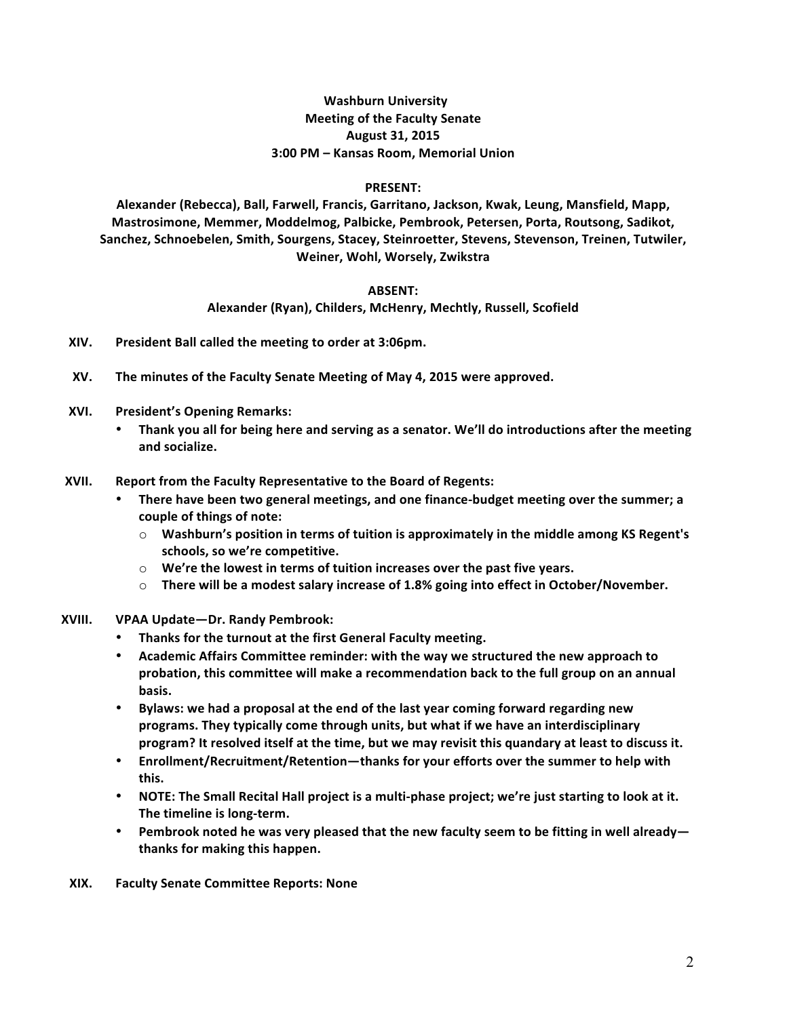# **Washburn University Meeting of the Faculty Senate August 31, 2015 3:00 PM – Kansas Room, Memorial Union**

#### **PRESENT:**

Alexander (Rebecca), Ball, Farwell, Francis, Garritano, Jackson, Kwak, Leung, Mansfield, Mapp, Mastrosimone, Memmer, Moddelmog, Palbicke, Pembrook, Petersen, Porta, Routsong, Sadikot, Sanchez, Schnoebelen, Smith, Sourgens, Stacey, Steinroetter, Stevens, Stevenson, Treinen, Tutwiler, **Weiner, Wohl, Worsely, Zwikstra**

# **ABSENT:**

Alexander (Ryan), Childers, McHenry, Mechtly, Russell, Scofield

- **XIV. President Ball called the meeting to order at 3:06pm.**
- **XV.** The minutes of the Faculty Senate Meeting of May 4, 2015 were approved.
- **XVI.** President's Opening Remarks:
	- Thank you all for being here and serving as a senator. We'll do introductions after the meeting **and socialize.**
- **XVII.** Report from the Faculty Representative to the Board of Regents:
	- There have been two general meetings, and one finance-budget meeting over the summer; a **couple of things of note:**
		- $\circ$  Washburn's position in terms of tuition is approximately in the middle among KS Regent's schools, so we're competitive.
		- $\circ$  We're the lowest in terms of tuition increases over the past five years.
		- $\circ$  There will be a modest salary increase of 1.8% going into effect in October/November.
- **XVIII. VPAA Update—Dr. Randy Pembrook:**
	- **Thanks for the turnout at the first General Faculty meeting.**
	- Academic Affairs Committee reminder: with the way we structured the new approach to probation, this committee will make a recommendation back to the full group on an annual **basis.**
	- Bylaws: we had a proposal at the end of the last year coming forward regarding new programs. They typically come through units, but what if we have an interdisciplinary **program?** It resolved itself at the time, but we may revisit this quandary at least to discuss it.
	- Enrollment/Recruitment/Retention—thanks for your efforts over the summer to help with **this.**
	- NOTE: The Small Recital Hall project is a multi-phase project; we're just starting to look at it. The timeline is long-term.
	- Pembrook noted he was very pleased that the new faculty seem to be fitting in well already **thanks for making this happen.**
	- **XIX. Faculty Senate Committee Reports: None**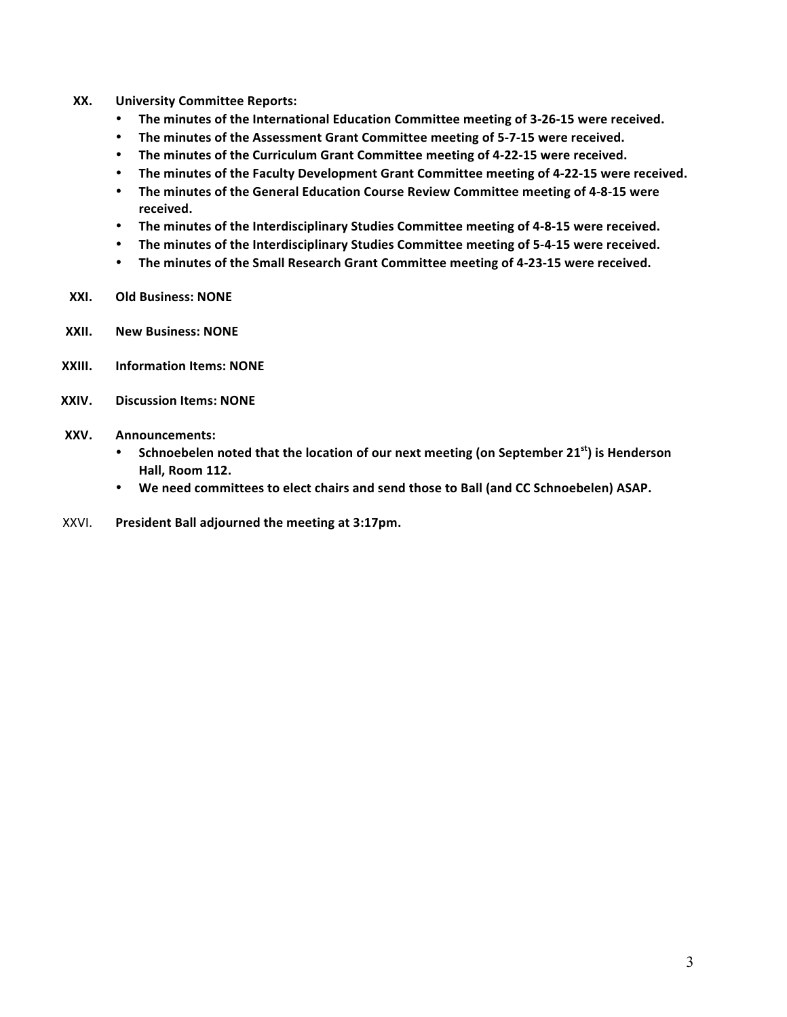- **XX. University Committee Reports:**
	- The minutes of the International Education Committee meeting of 3-26-15 were received.
	- The minutes of the Assessment Grant Committee meeting of 5-7-15 were received.
	- The minutes of the Curriculum Grant Committee meeting of 4-22-15 were received.
	- The minutes of the Faculty Development Grant Committee meeting of 4-22-15 were received.
	- The minutes of the General Education Course Review Committee meeting of 4-8-15 were **received.**
	- The minutes of the Interdisciplinary Studies Committee meeting of 4-8-15 were received.
	- The minutes of the Interdisciplinary Studies Committee meeting of 5-4-15 were received.
	- The minutes of the Small Research Grant Committee meeting of 4-23-15 were received.
- **XXI. Old Business: NONE**
- **XXII. New Business: NONE**
- **XXIII.** Information Items: NONE
- **XXIV. Discussion Items: NONE**
- **XXV. Announcements:**
	- Schnoebelen noted that the location of our next meeting (on September 21<sup>st</sup>) is Henderson **Hall, Room 112.**
	- We need committees to elect chairs and send those to Ball (and CC Schnoebelen) ASAP.
- XXVI. President Ball adjourned the meeting at 3:17pm.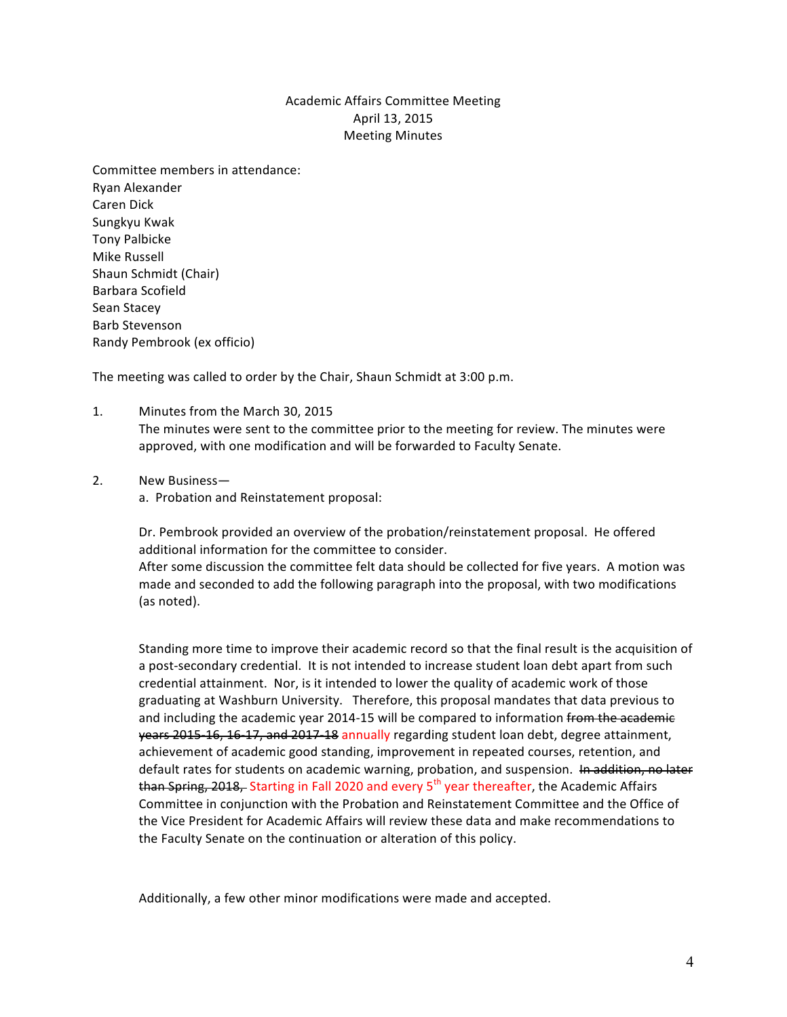# Academic Affairs Committee Meeting April 13, 2015 **Meeting Minutes**

Committee members in attendance: Ryan Alexander Caren Dick Sungkyu Kwak Tony Palbicke Mike Russell Shaun Schmidt (Chair) Barbara Scofield Sean Stacey Barb Stevenson Randy Pembrook (ex officio) 

The meeting was called to order by the Chair, Shaun Schmidt at 3:00 p.m.

1. Minutes from the March 30, 2015

The minutes were sent to the committee prior to the meeting for review. The minutes were approved, with one modification and will be forwarded to Faculty Senate.

2. New Business-

a. Probation and Reinstatement proposal:

Dr. Pembrook provided an overview of the probation/reinstatement proposal. He offered additional information for the committee to consider. After some discussion the committee felt data should be collected for five years. A motion was made and seconded to add the following paragraph into the proposal, with two modifications (as noted).

Standing more time to improve their academic record so that the final result is the acquisition of a post-secondary credential. It is not intended to increase student loan debt apart from such credential attainment. Nor, is it intended to lower the quality of academic work of those graduating at Washburn University. Therefore, this proposal mandates that data previous to and including the academic year 2014-15 will be compared to information from the academic years 2015-16, 16-17, and 2017-18 annually regarding student loan debt, degree attainment, achievement of academic good standing, improvement in repeated courses, retention, and default rates for students on academic warning, probation, and suspension. In addition, no later than Spring, 2018, Starting in Fall 2020 and every 5<sup>th</sup> year thereafter, the Academic Affairs Committee in conjunction with the Probation and Reinstatement Committee and the Office of the Vice President for Academic Affairs will review these data and make recommendations to the Faculty Senate on the continuation or alteration of this policy.

Additionally, a few other minor modifications were made and accepted.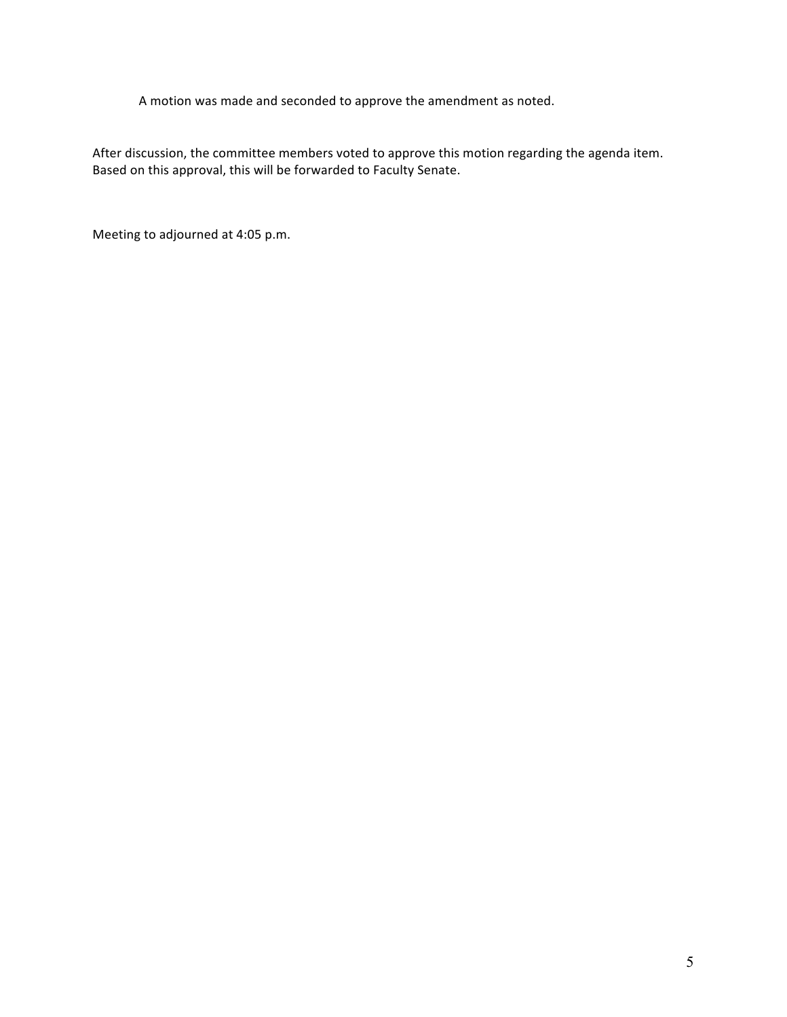A motion was made and seconded to approve the amendment as noted.

After discussion, the committee members voted to approve this motion regarding the agenda item. Based on this approval, this will be forwarded to Faculty Senate.

Meeting to adjourned at 4:05 p.m.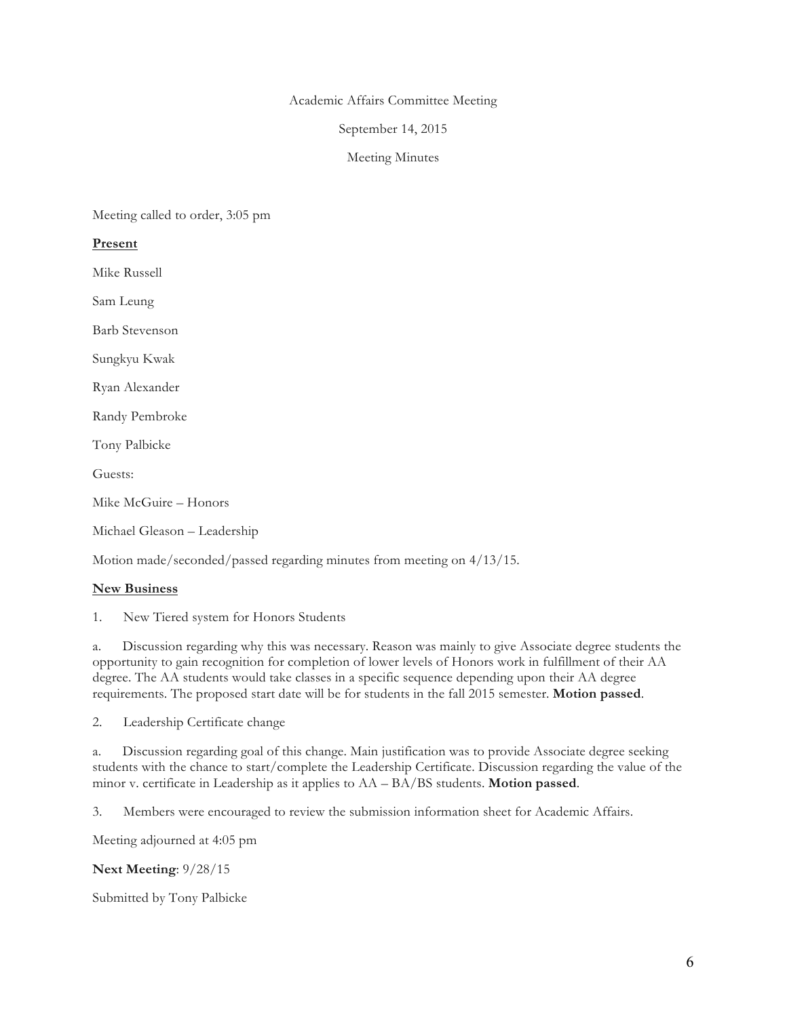#### Academic Affairs Committee Meeting

#### September 14, 2015

#### Meeting Minutes

Meeting called to order, 3:05 pm

## **Present**

Mike Russell

Sam Leung

Barb Stevenson

Sungkyu Kwak

Ryan Alexander

Randy Pembroke

Tony Palbicke

Guests:

Mike McGuire – Honors

Michael Gleason – Leadership

Motion made/seconded/passed regarding minutes from meeting on 4/13/15.

# **New Business**

1. New Tiered system for Honors Students

a. Discussion regarding why this was necessary. Reason was mainly to give Associate degree students the opportunity to gain recognition for completion of lower levels of Honors work in fulfillment of their AA degree. The AA students would take classes in a specific sequence depending upon their AA degree requirements. The proposed start date will be for students in the fall 2015 semester. **Motion passed**.

2. Leadership Certificate change

a. Discussion regarding goal of this change. Main justification was to provide Associate degree seeking students with the chance to start/complete the Leadership Certificate. Discussion regarding the value of the minor v. certificate in Leadership as it applies to AA – BA/BS students. **Motion passed**.

3. Members were encouraged to review the submission information sheet for Academic Affairs.

Meeting adjourned at 4:05 pm

**Next Meeting**: 9/28/15

Submitted by Tony Palbicke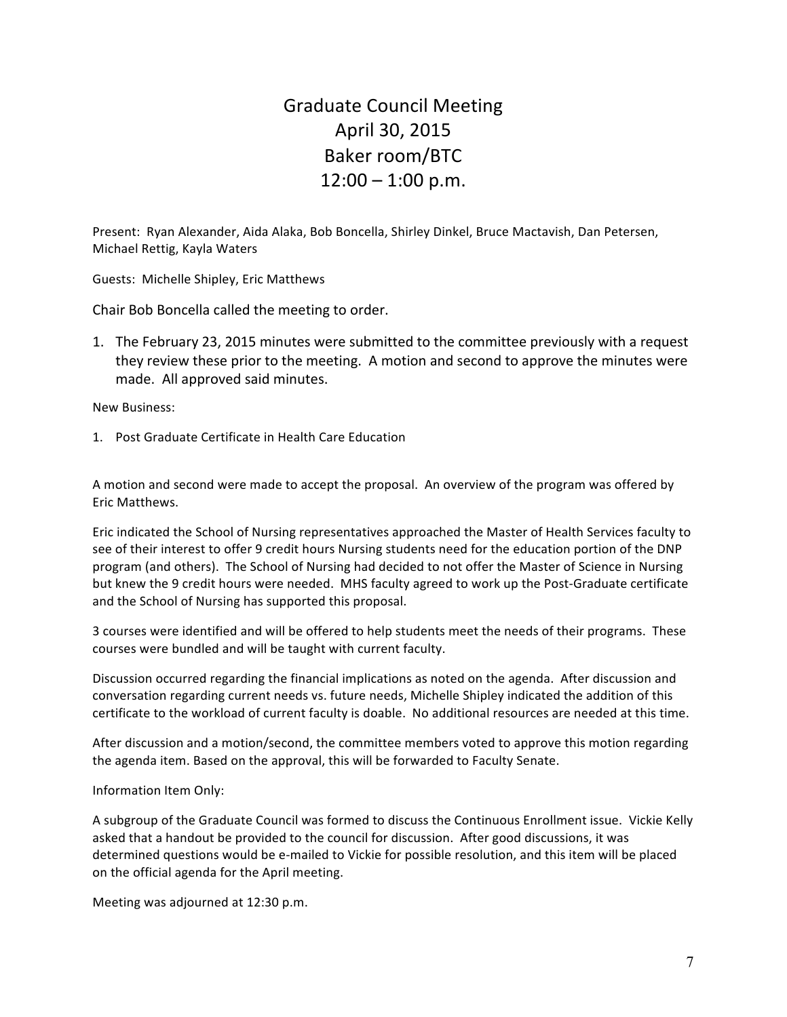# Graduate Council Meeting April 30, 2015 Baker room/BTC  $12:00 - 1:00$  p.m.

Present: Ryan Alexander, Aida Alaka, Bob Boncella, Shirley Dinkel, Bruce Mactavish, Dan Petersen, Michael Rettig, Kayla Waters

Guests: Michelle Shipley, Eric Matthews

Chair Bob Boncella called the meeting to order.

1. The February 23, 2015 minutes were submitted to the committee previously with a request they review these prior to the meeting. A motion and second to approve the minutes were made. All approved said minutes.

New Business: 

1. Post Graduate Certificate in Health Care Education

A motion and second were made to accept the proposal. An overview of the program was offered by Eric Matthews. 

Eric indicated the School of Nursing representatives approached the Master of Health Services faculty to see of their interest to offer 9 credit hours Nursing students need for the education portion of the DNP program (and others). The School of Nursing had decided to not offer the Master of Science in Nursing but knew the 9 credit hours were needed. MHS faculty agreed to work up the Post-Graduate certificate and the School of Nursing has supported this proposal.

3 courses were identified and will be offered to help students meet the needs of their programs. These courses were bundled and will be taught with current faculty.

Discussion occurred regarding the financial implications as noted on the agenda. After discussion and conversation regarding current needs vs. future needs, Michelle Shipley indicated the addition of this certificate to the workload of current faculty is doable. No additional resources are needed at this time.

After discussion and a motion/second, the committee members voted to approve this motion regarding the agenda item. Based on the approval, this will be forwarded to Faculty Senate.

Information Item Only:

A subgroup of the Graduate Council was formed to discuss the Continuous Enrollment issue. Vickie Kelly asked that a handout be provided to the council for discussion. After good discussions, it was determined questions would be e-mailed to Vickie for possible resolution, and this item will be placed on the official agenda for the April meeting.

Meeting was adjourned at 12:30 p.m.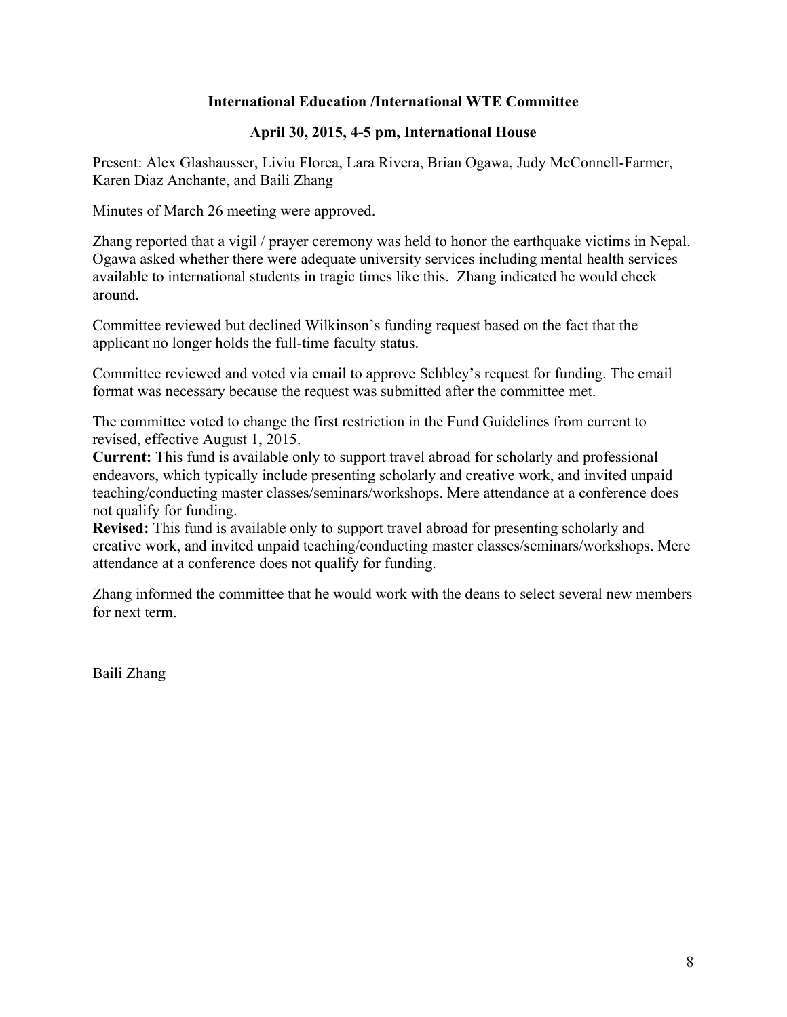# **International Education /International WTE Committee**

# **April 30, 2015, 4-5 pm, International House**

Present: Alex Glashausser, Liviu Florea, Lara Rivera, Brian Ogawa, Judy McConnell-Farmer, Karen Diaz Anchante, and Baili Zhang

Minutes of March 26 meeting were approved.

Zhang reported that a vigil / prayer ceremony was held to honor the earthquake victims in Nepal. Ogawa asked whether there were adequate university services including mental health services available to international students in tragic times like this. Zhang indicated he would check around.

Committee reviewed but declined Wilkinson's funding request based on the fact that the applicant no longer holds the full-time faculty status.

Committee reviewed and voted via email to approve Schbley's request for funding. The email format was necessary because the request was submitted after the committee met.

The committee voted to change the first restriction in the Fund Guidelines from current to revised, effective August 1, 2015.

**Current:** This fund is available only to support travel abroad for scholarly and professional endeavors, which typically include presenting scholarly and creative work, and invited unpaid teaching/conducting master classes/seminars/workshops. Mere attendance at a conference does not qualify for funding.

**Revised:** This fund is available only to support travel abroad for presenting scholarly and creative work, and invited unpaid teaching/conducting master classes/seminars/workshops. Mere attendance at a conference does not qualify for funding.

Zhang informed the committee that he would work with the deans to select several new members for next term.

Baili Zhang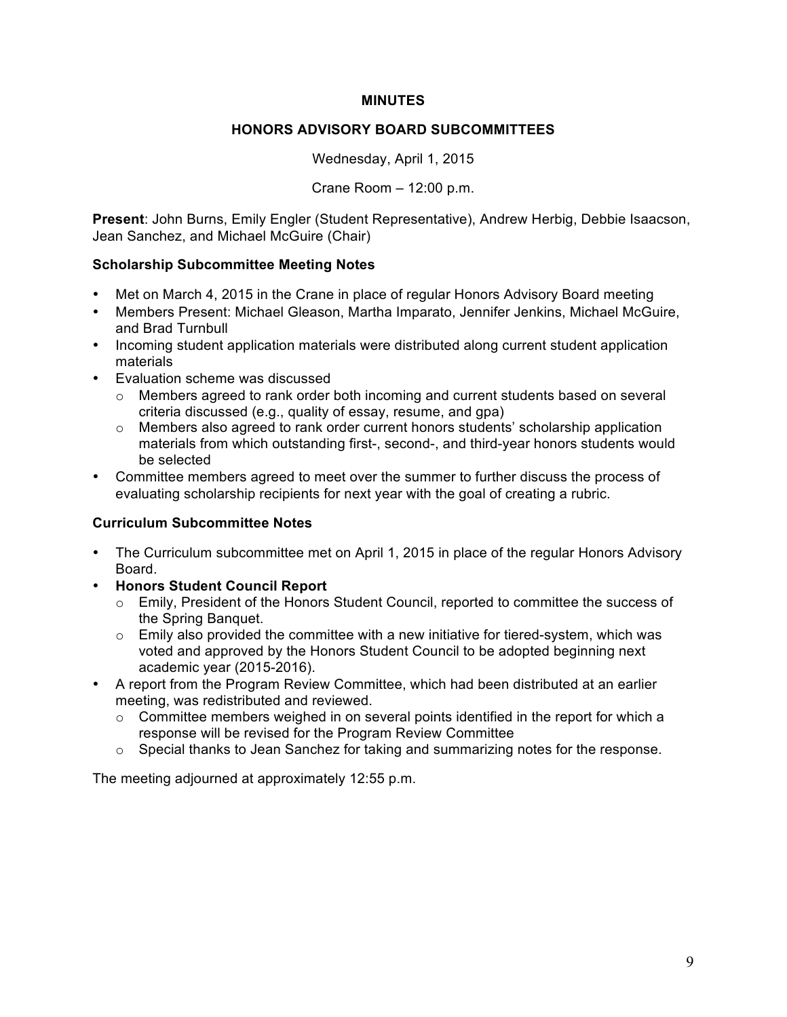# **MINUTES**

# **HONORS ADVISORY BOARD SUBCOMMITTEES**

Wednesday, April 1, 2015

Crane Room – 12:00 p.m.

**Present**: John Burns, Emily Engler (Student Representative), Andrew Herbig, Debbie Isaacson, Jean Sanchez, and Michael McGuire (Chair)

# **Scholarship Subcommittee Meeting Notes**

- Met on March 4, 2015 in the Crane in place of regular Honors Advisory Board meeting
- Members Present: Michael Gleason, Martha Imparato, Jennifer Jenkins, Michael McGuire, and Brad Turnbull
- Incoming student application materials were distributed along current student application materials
- Evaluation scheme was discussed
	- o Members agreed to rank order both incoming and current students based on several criteria discussed (e.g., quality of essay, resume, and gpa)
	- $\circ$  Members also agreed to rank order current honors students' scholarship application materials from which outstanding first-, second-, and third-year honors students would be selected
- Committee members agreed to meet over the summer to further discuss the process of evaluating scholarship recipients for next year with the goal of creating a rubric.

# **Curriculum Subcommittee Notes**

- The Curriculum subcommittee met on April 1, 2015 in place of the regular Honors Advisory Board.
- **Honors Student Council Report**
	- o Emily, President of the Honors Student Council, reported to committee the success of the Spring Banquet.
	- $\circ$  Emily also provided the committee with a new initiative for tiered-system, which was voted and approved by the Honors Student Council to be adopted beginning next academic year (2015-2016).
- A report from the Program Review Committee, which had been distributed at an earlier meeting, was redistributed and reviewed.
	- $\circ$  Committee members weighed in on several points identified in the report for which a response will be revised for the Program Review Committee
	- $\circ$  Special thanks to Jean Sanchez for taking and summarizing notes for the response.

The meeting adjourned at approximately 12:55 p.m.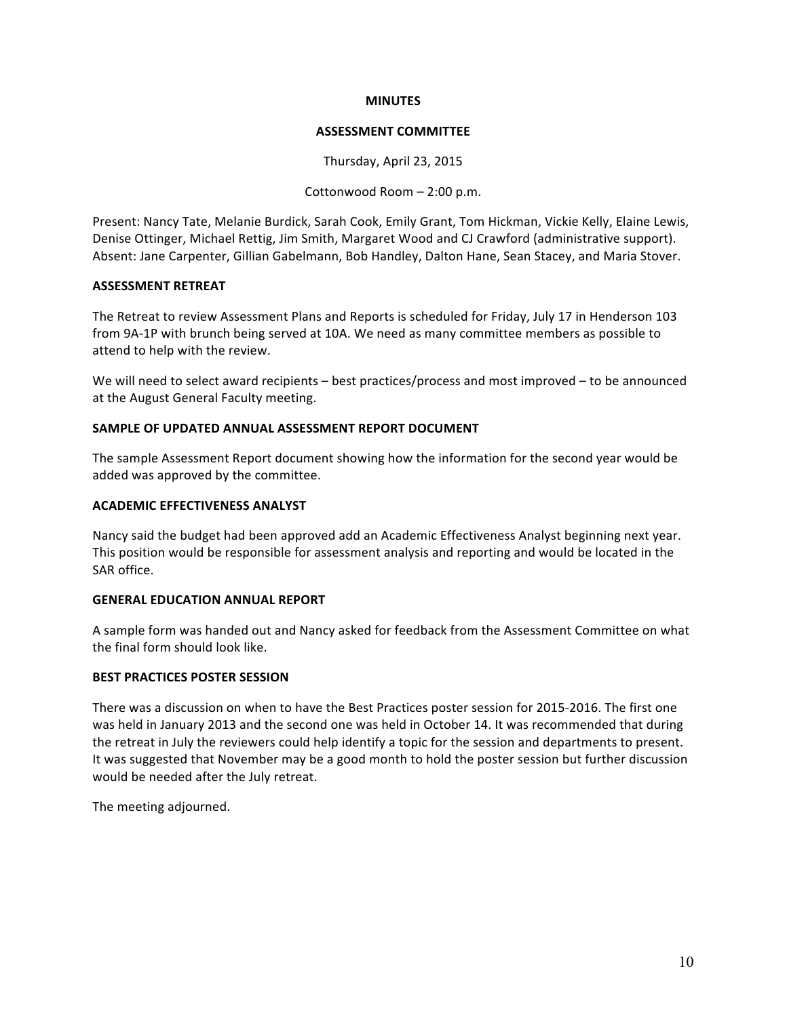#### **MINUTES**

#### **ASSESSMENT COMMITTEE**

Thursday, April 23, 2015

Cottonwood Room  $- 2:00$  p.m.

Present: Nancy Tate, Melanie Burdick, Sarah Cook, Emily Grant, Tom Hickman, Vickie Kelly, Elaine Lewis, Denise Ottinger, Michael Rettig, Jim Smith, Margaret Wood and CJ Crawford (administrative support). Absent: Jane Carpenter, Gillian Gabelmann, Bob Handley, Dalton Hane, Sean Stacey, and Maria Stover.

#### **ASSESSMENT RETREAT**

The Retreat to review Assessment Plans and Reports is scheduled for Friday, July 17 in Henderson 103 from 9A-1P with brunch being served at 10A. We need as many committee members as possible to attend to help with the review.

We will need to select award recipients – best practices/process and most improved – to be announced at the August General Faculty meeting.

## **SAMPLE OF UPDATED ANNUAL ASSESSMENT REPORT DOCUMENT**

The sample Assessment Report document showing how the information for the second year would be added was approved by the committee.

#### **ACADEMIC EFFECTIVENESS ANALYST**

Nancy said the budget had been approved add an Academic Effectiveness Analyst beginning next year. This position would be responsible for assessment analysis and reporting and would be located in the SAR office.

#### **GENERAL EDUCATION ANNUAL REPORT**

A sample form was handed out and Nancy asked for feedback from the Assessment Committee on what the final form should look like.

# **BEST PRACTICES POSTER SESSION**

There was a discussion on when to have the Best Practices poster session for 2015-2016. The first one was held in January 2013 and the second one was held in October 14. It was recommended that during the retreat in July the reviewers could help identify a topic for the session and departments to present. It was suggested that November may be a good month to hold the poster session but further discussion would be needed after the July retreat.

The meeting adjourned.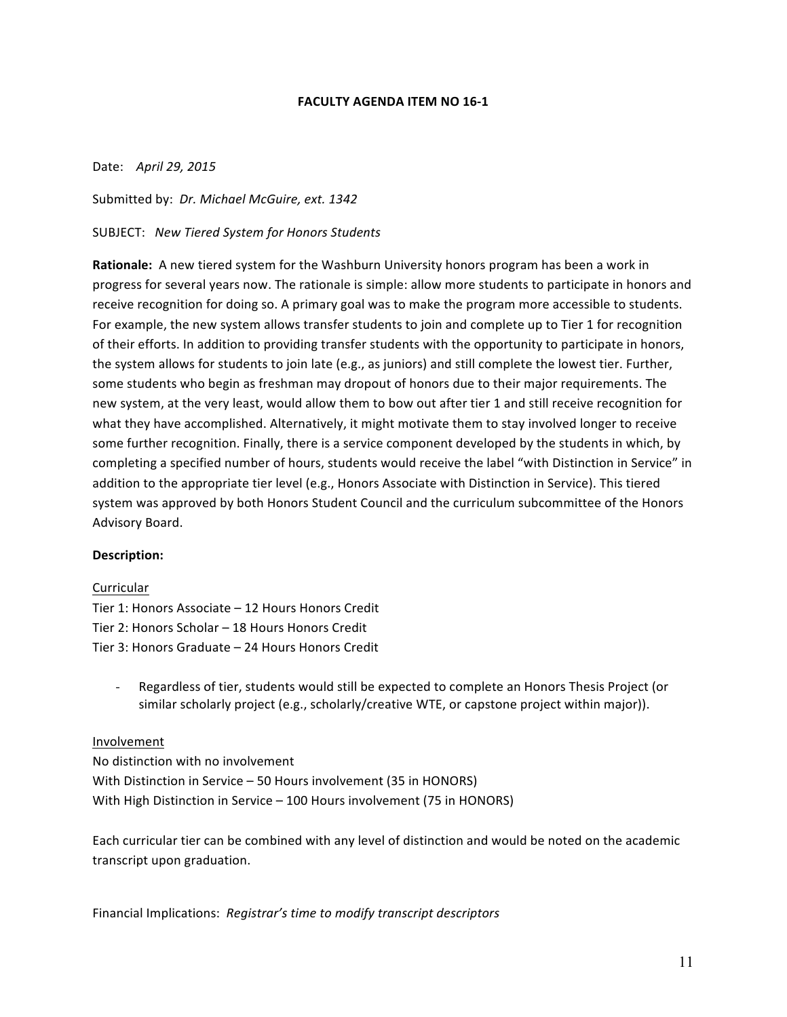#### **FACULTY AGENDA ITEM NO 16-1**

Date: April 29, 2015

Submitted by: *Dr. Michael McGuire, ext.* 1342

SUBJECT: *New Tiered System for Honors Students*

**Rationale:** A new tiered system for the Washburn University honors program has been a work in progress for several years now. The rationale is simple: allow more students to participate in honors and receive recognition for doing so. A primary goal was to make the program more accessible to students. For example, the new system allows transfer students to join and complete up to Tier 1 for recognition of their efforts. In addition to providing transfer students with the opportunity to participate in honors, the system allows for students to join late (e.g., as juniors) and still complete the lowest tier. Further, some students who begin as freshman may dropout of honors due to their major requirements. The new system, at the very least, would allow them to bow out after tier 1 and still receive recognition for what they have accomplished. Alternatively, it might motivate them to stay involved longer to receive some further recognition. Finally, there is a service component developed by the students in which, by completing a specified number of hours, students would receive the label "with Distinction in Service" in addition to the appropriate tier level (e.g., Honors Associate with Distinction in Service). This tiered system was approved by both Honors Student Council and the curriculum subcommittee of the Honors Advisory Board.

# **Description:**

# Curricular

Tier 1: Honors Associate  $-$  12 Hours Honors Credit Tier 2: Honors Scholar – 18 Hours Honors Credit Tier 3: Honors Graduate - 24 Hours Honors Credit

- Regardless of tier, students would still be expected to complete an Honors Thesis Project (or similar scholarly project (e.g., scholarly/creative WTE, or capstone project within major)).

# Involvement

No distinction with no involvement With Distinction in Service – 50 Hours involvement  $(35$  in HONORS) With High Distinction in Service - 100 Hours involvement (75 in HONORS)

Each curricular tier can be combined with any level of distinction and would be noted on the academic transcript upon graduation.

Financial Implications: Registrar's time to modify transcript descriptors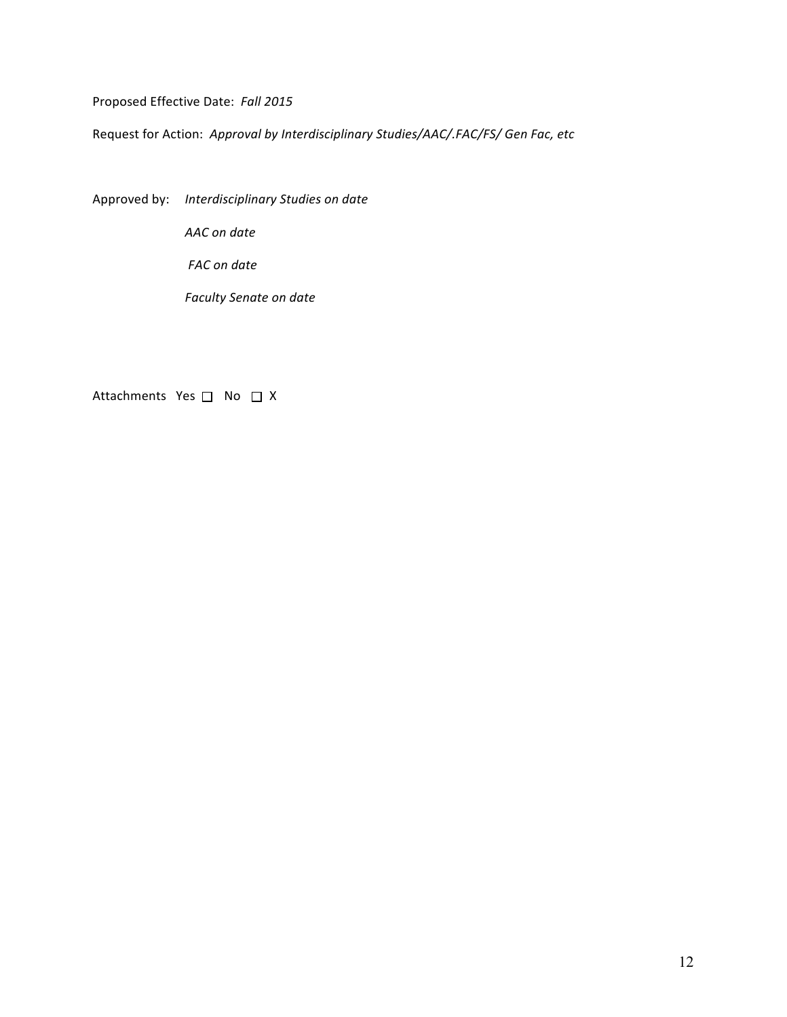Proposed Effective Date: Fall 2015

Request for Action: Approval by Interdisciplinary Studies/AAC/.FAC/FS/ Gen Fac, etc

Approved by: *Interdisciplinary Studies on date*

*AAC on date*

*FAC* on date

*Faculty Senate on date* 

Attachments  $Yes \Box No \Box X$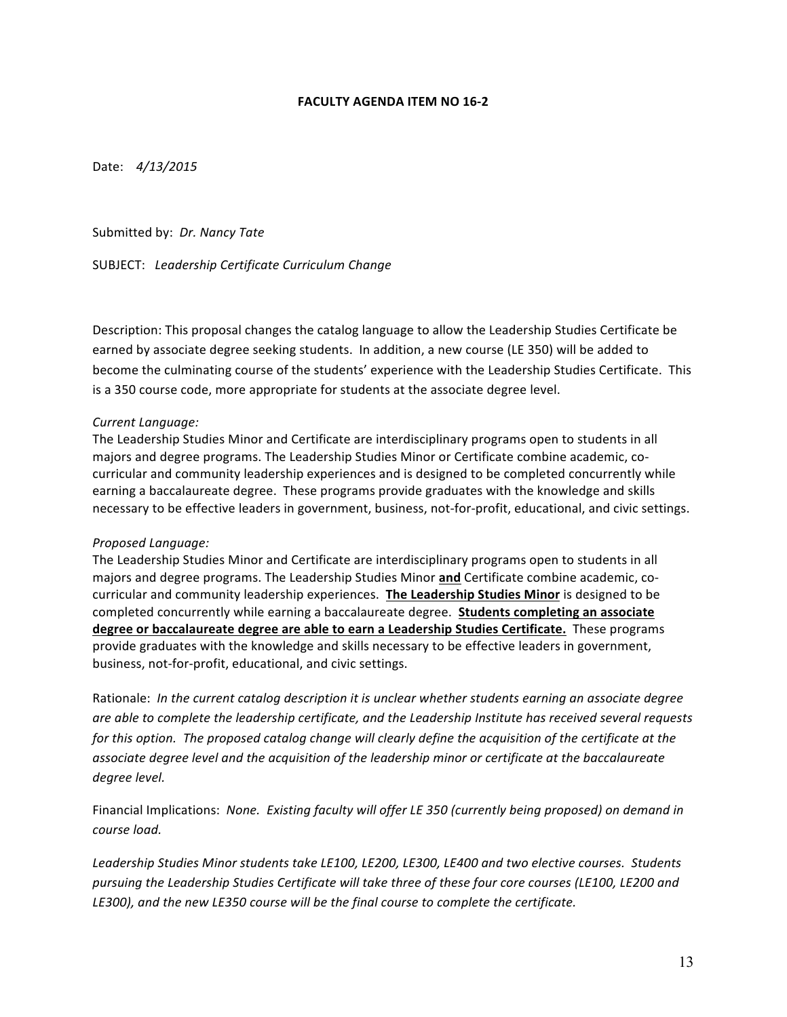#### **FACULTY AGENDA ITEM NO 16-2**

Date:  $4/13/2015$ 

Submitted by: *Dr. Nancy Tate* 

SUBJECT: *Leadership Certificate Curriculum Change*

Description: This proposal changes the catalog language to allow the Leadership Studies Certificate be earned by associate degree seeking students. In addition, a new course (LE 350) will be added to become the culminating course of the students' experience with the Leadership Studies Certificate. This is a 350 course code, more appropriate for students at the associate degree level.

#### *Current Language:*

The Leadership Studies Minor and Certificate are interdisciplinary programs open to students in all majors and degree programs. The Leadership Studies Minor or Certificate combine academic, cocurricular and community leadership experiences and is designed to be completed concurrently while earning a baccalaureate degree. These programs provide graduates with the knowledge and skills necessary to be effective leaders in government, business, not-for-profit, educational, and civic settings.

#### *Proposed Language:*

The Leadership Studies Minor and Certificate are interdisciplinary programs open to students in all majors and degree programs. The Leadership Studies Minor and Certificate combine academic, cocurricular and community leadership experiences. **The Leadership Studies Minor** is designed to be completed concurrently while earning a baccalaureate degree. Students completing an associate degree or baccalaureate degree are able to earn a Leadership Studies Certificate. These programs provide graduates with the knowledge and skills necessary to be effective leaders in government, business, not-for-profit, educational, and civic settings.

Rationale: In the current catalog description it is unclear whether students earning an associate degree are able to complete the leadership certificate, and the Leadership Institute has received several requests *for* this option. The proposed catalog change will clearly define the acquisition of the certificate at the *associate degree level and the acquisition of the leadership minor or certificate at the baccalaureate degree level.*

Financial Implications: *None. Existing faculty will offer LE 350 (currently being proposed)* on demand in *course load.* 

Leadership Studies Minor students take LE100, LE200, LE300, LE400 and two elective courses. Students pursuing the Leadership Studies Certificate will take three of these four core courses (LE100, LE200 and LE300), and the new LE350 course will be the final course to complete the certificate.